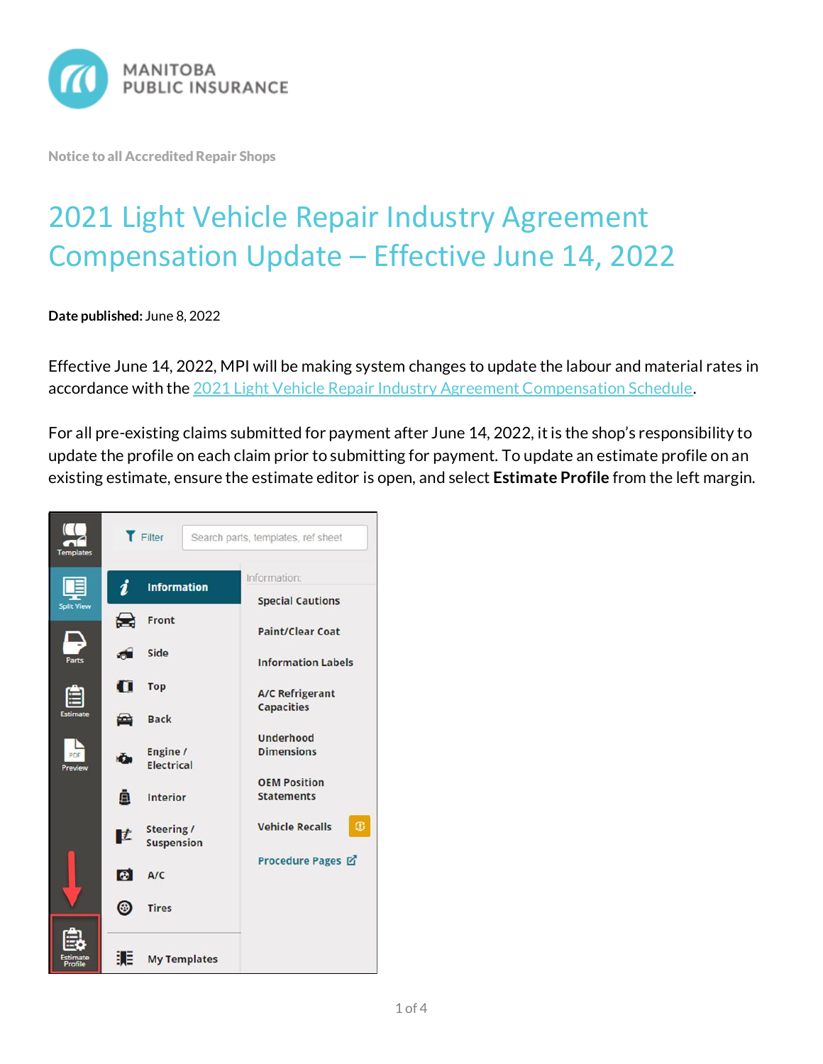

Notice to all Accredited Repair Shops

## 2021 Light Vehicle Repair Industry Agreement Compensation Update – Effective June 14, 2022

**Date published:** June 8, 2022

Effective June 14, 2022, MPI will be making system changes to update the labour and material rates in accordance with the [2021 Light Vehicle Repair Industry Agreement Compensation Schedule.](https://mpipartners.ca/documents/Policies_Procedures/2021-LVAA-Compensation-Schedule-Restated-April-1-2022.pdf)

For all pre-existing claims submitted for payment after June 14, 2022, it is the shop's responsibility to update the profile on each claim prior to submitting for payment. To update an estimate profile on an existing estimate, ensure the estimate editor is open, and select **Estimate Profile** from the left margin.

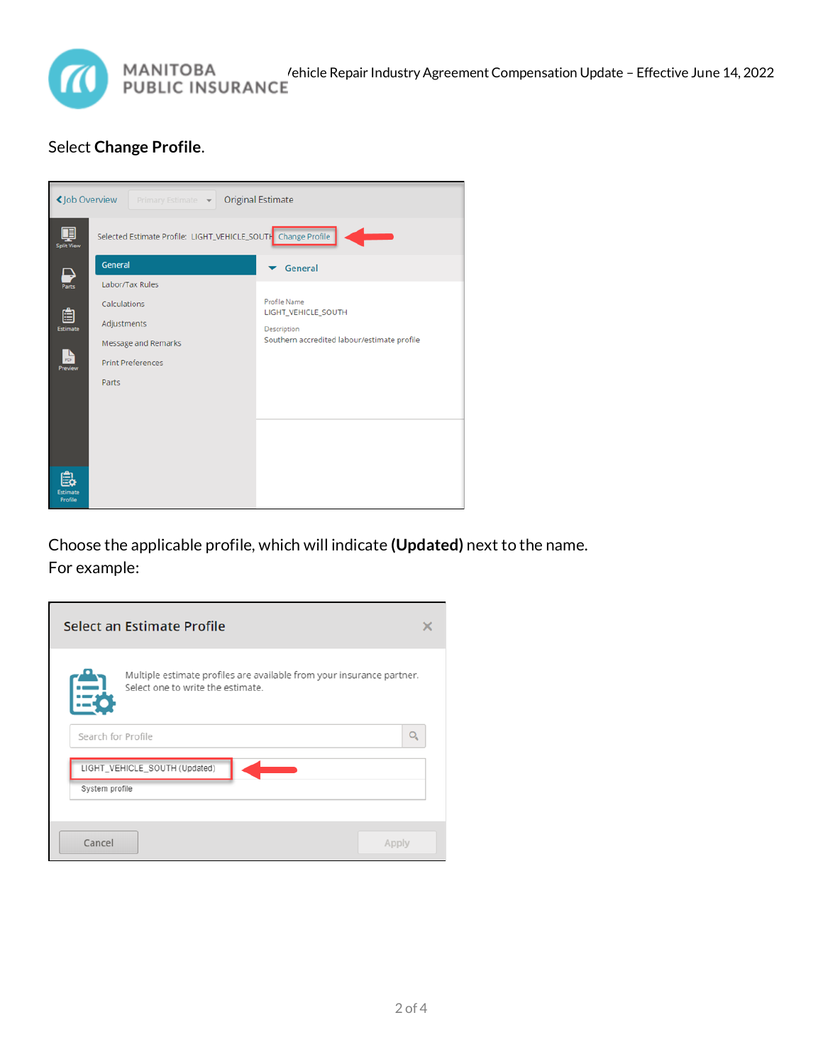

## Select **Change Profile**.

| <b>くJob Overview</b><br><b>Original Estimate</b><br>Primary Estimate v |                                                               |                                             |  |
|------------------------------------------------------------------------|---------------------------------------------------------------|---------------------------------------------|--|
| 耳<br><b>Split View</b>                                                 | Selected Estimate Profile: LIGHT_VEHICLE_SOUTH Change Profile |                                             |  |
| ↳                                                                      | General                                                       | General                                     |  |
| $\overline{Pares}$                                                     | Labor/Tax Rules                                               |                                             |  |
| 自                                                                      | Calculations                                                  | Profile Name<br>LIGHT_VEHICLE_SOUTH         |  |
| Estimate                                                               | Adjustments                                                   | Description                                 |  |
|                                                                        | <b>Message and Remarks</b>                                    | Southern accredited labour/estimate profile |  |
| Preview                                                                | <b>Print Preferences</b>                                      |                                             |  |
|                                                                        | Parts                                                         |                                             |  |
|                                                                        |                                                               |                                             |  |
|                                                                        |                                                               |                                             |  |
|                                                                        |                                                               |                                             |  |
|                                                                        |                                                               |                                             |  |
| <b>Estimate</b><br>Profile                                             |                                                               |                                             |  |

Choose the applicable profile, which will indicate **(Updated)** next to the name. For example:

| Select an Estimate Profile                                                                                 |  |  |
|------------------------------------------------------------------------------------------------------------|--|--|
| Multiple estimate profiles are available from your insurance partner.<br>Select one to write the estimate. |  |  |
| Search for Profile                                                                                         |  |  |
| LIGHT_VEHICLE_SOUTH (Updated)<br>System profile                                                            |  |  |
|                                                                                                            |  |  |
| Cancel<br>Apply                                                                                            |  |  |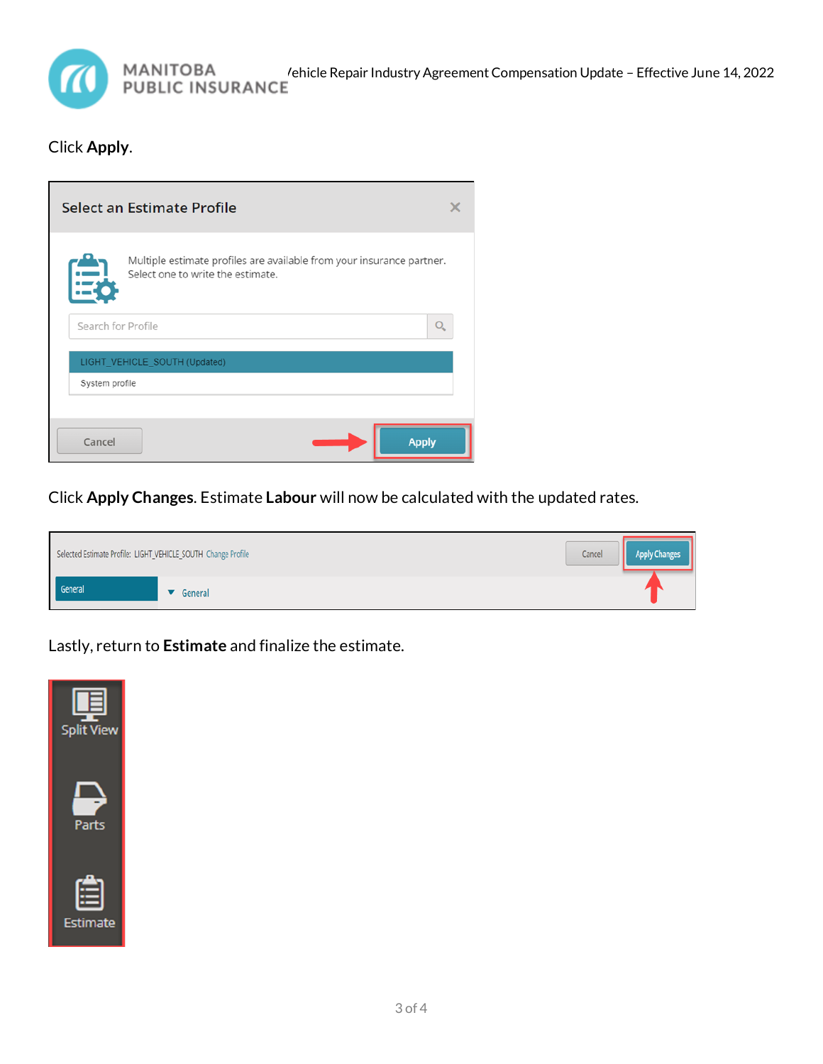

## Click **Apply**.

| <b>Select an Estimate Profile</b>                                                                          |              |
|------------------------------------------------------------------------------------------------------------|--------------|
| Multiple estimate profiles are available from your insurance partner.<br>Select one to write the estimate. |              |
| Search for Profile                                                                                         |              |
| LIGHT_VEHICLE_SOUTH (Updated)                                                                              |              |
| System profile                                                                                             |              |
|                                                                                                            |              |
| Cancel                                                                                                     | <b>Apply</b> |

Click **Apply Changes**. Estimate **Labour** will now be calculated with the updated rates.



Lastly, return to **Estimate** and finalize the estimate.